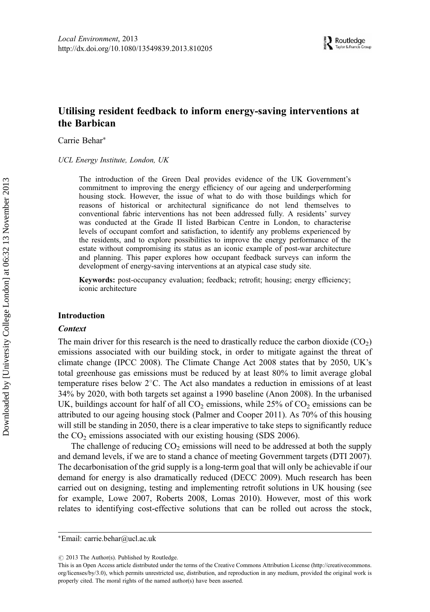# Utilising resident feedback to inform energy-saving interventions at the Barbican

Carrie Behar<sup>∗</sup>

#### UCL Energy Institute, London, UK

The introduction of the Green Deal provides evidence of the UK Government's commitment to improving the energy efficiency of our ageing and underperforming housing stock. However, the issue of what to do with those buildings which for reasons of historical or architectural significance do not lend themselves conventional fabric interventions has not been addressed fully. A residents' survey was conducted at the Grade II listed Barbican Centre in London, to characterise levels of occupant comfort and satisfaction, to identify any problems experienced by the residents, and to explore possibilities to improve the energy performance of the estate without compromising its status as an iconic example of post-war architecture and planning. This paper explores how occupant feedback surveys can inform the development of energy-saving interventions at an atypical case study site.

Keywords: post-occupancy evaluation; feedback; retrofit; housing; energy efficiency; iconic architecture

## Introduction

## **Context**

The main driver for this research is the need to drastically reduce the carbon dioxide  $(CO<sub>2</sub>)$ emissions associated with our building stock, in order to mitigate against the threat of climate change (IPCC 2008). The Climate Change Act 2008 states that by 2050, UK's total greenhouse gas emissions must be reduced by at least 80% to limit average global temperature rises below  $2^{\circ}$ C. The Act also mandates a reduction in emissions of at least 34% by 2020, with both targets set against a 1990 baseline (Anon 2008). In the urbanised UK, buildings account for half of all  $CO<sub>2</sub>$  emissions, while 25% of  $CO<sub>2</sub>$  emissions can be attributed to our ageing housing stock (Palmer and Cooper 2011). As 70% of this housing will still be standing in 2050, there is a clear imperative to take steps to significantly reduce the  $CO<sub>2</sub>$  emissions associated with our existing housing (SDS 2006).

The challenge of reducing  $CO<sub>2</sub>$  emissions will need to be addressed at both the supply and demand levels, if we are to stand a chance of meeting Government targets (DTI 2007). The decarbonisation of the grid supply is a long-term goal that will only be achievable if our demand for energy is also dramatically reduced (DECC 2009). Much research has been carried out on designing, testing and implementing retrofit solutions in UK housing (see for example, Lowe 2007, Roberts 2008, Lomas 2010). However, most of this work relates to identifying cost-effective solutions that can be rolled out across the stock,

<sup>∗</sup>Email: carrie.behar@ucl.ac.uk

 $\odot$  2013 The Author(s). Published by Routledge.

This is an Open Access article distributed under the terms of the Creative Commons Attribution License (http://creativecommons. org/licenses/by/3.0), which permits unrestricted use, distribution, and reproduction in any medium, provided the original work is properly cited. The moral rights of the named author(s) have been asserted.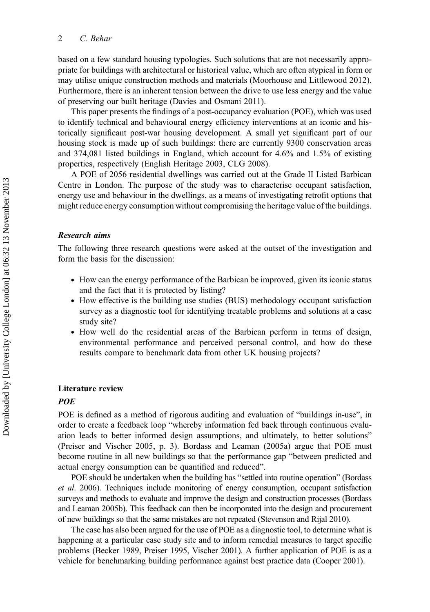based on a few standard housing typologies. Such solutions that are not necessarily appropriate for buildings with architectural or historical value, which are often atypical in form or may utilise unique construction methods and materials (Moorhouse and Littlewood 2012). Furthermore, there is an inherent tension between the drive to use less energy and the value of preserving our built heritage (Davies and Osmani 2011).

This paper presents the findings of a post-occupancy evaluation (POE), which was used to identify technical and behavioural energy efficiency interventions at an iconic and historically significant post-war housing development. A small yet significant part of our housing stock is made up of such buildings: there are currently 9300 conservation areas and 374,081 listed buildings in England, which account for 4.6% and 1.5% of existing properties, respectively (English Heritage 2003, CLG 2008).

A POE of 2056 residential dwellings was carried out at the Grade II Listed Barbican Centre in London. The purpose of the study was to characterise occupant satisfaction, energy use and behaviour in the dwellings, as a means of investigating retrofit options that might reduce energy consumption without compromising the heritage value of the buildings.

# Research aims

The following three research questions were asked at the outset of the investigation and form the basis for the discussion:

- . How can the energy performance of the Barbican be improved, given its iconic status and the fact that it is protected by listing?
- . How effective is the building use studies (BUS) methodology occupant satisfaction survey as a diagnostic tool for identifying treatable problems and solutions at a case study site?
- . How well do the residential areas of the Barbican perform in terms of design, environmental performance and perceived personal control, and how do these results compare to benchmark data from other UK housing projects?

# Literature review

## **POE**

POE is defined as a method of rigorous auditing and evaluation of "buildings in-use", in order to create a feedback loop "whereby information fed back through continuous evaluation leads to better informed design assumptions, and ultimately, to better solutions" (Preiser and Vischer 2005, p. 3). Bordass and Leaman (2005a) argue that POE must become routine in all new buildings so that the performance gap "between predicted and actual energy consumption can be quantified and reduced".

POE should be undertaken when the building has "settled into routine operation" (Bordass et al. 2006). Techniques include monitoring of energy consumption, occupant satisfaction surveys and methods to evaluate and improve the design and construction processes (Bordass and Leaman 2005b). This feedback can then be incorporated into the design and procurement of new buildings so that the same mistakes are not repeated (Stevenson and Rijal 2010).

The case has also been argued for the use of POE as a diagnostic tool, to determine what is happening at a particular case study site and to inform remedial measures to target specific problems (Becker 1989, Preiser 1995, Vischer 2001). A further application of POE is as a vehicle for benchmarking building performance against best practice data (Cooper 2001).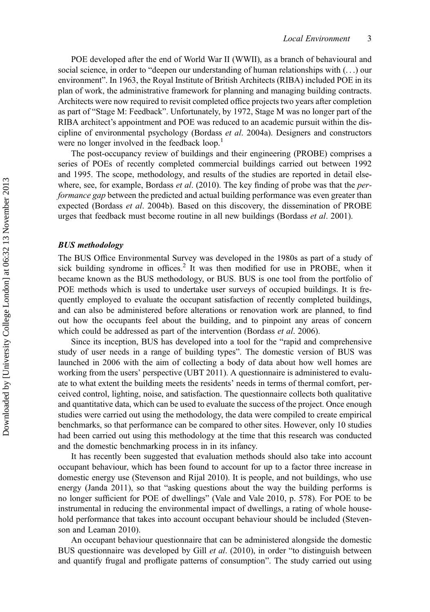POE developed after the end of World War II (WWII), as a branch of behavioural and social science, in order to "deepen our understanding of human relationships with (...) our environment". In 1963, the Royal Institute of British Architects (RIBA) included POE in its plan of work, the administrative framework for planning and managing building contracts. Architects were now required to revisit completed office projects two years after completion as part of "Stage M: Feedback". Unfortunately, by 1972, Stage M was no longer part of the RIBA architect's appointment and POE was reduced to an academic pursuit within the discipline of environmental psychology (Bordass et al. 2004a). Designers and constructors were no longer involved in the feedback loop.<sup>1</sup>

The post-occupancy review of buildings and their engineering (PROBE) comprises a series of POEs of recently completed commercial buildings carried out between 1992 and 1995. The scope, methodology, and results of the studies are reported in detail elsewhere, see, for example, Bordass *et al.* (2010). The key finding of probe was that the *per*formance gap between the predicted and actual building performance was even greater than expected (Bordass et al. 2004b). Based on this discovery, the dissemination of PROBE urges that feedback must become routine in all new buildings (Bordass et al. 2001).

## BUS methodology

The BUS Office Environmental Survey was developed in the 1980s as part of a study of sick building syndrome in offices. $2$  It was then modified for use in PROBE, when it became known as the BUS methodology, or BUS. BUS is one tool from the portfolio of POE methods which is used to undertake user surveys of occupied buildings. It is frequently employed to evaluate the occupant satisfaction of recently completed buildings, and can also be administered before alterations or renovation work are planned, to find out how the occupants feel about the building, and to pinpoint any areas of concern which could be addressed as part of the intervention (Bordass et al. 2006).

Since its inception, BUS has developed into a tool for the "rapid and comprehensive study of user needs in a range of building types". The domestic version of BUS was launched in 2006 with the aim of collecting a body of data about how well homes are working from the users' perspective (UBT 2011). A questionnaire is administered to evaluate to what extent the building meets the residents' needs in terms of thermal comfort, perceived control, lighting, noise, and satisfaction. The questionnaire collects both qualitative and quantitative data, which can be used to evaluate the success of the project. Once enough studies were carried out using the methodology, the data were compiled to create empirical benchmarks, so that performance can be compared to other sites. However, only 10 studies had been carried out using this methodology at the time that this research was conducted and the domestic benchmarking process in in its infancy.

It has recently been suggested that evaluation methods should also take into account occupant behaviour, which has been found to account for up to a factor three increase in domestic energy use (Stevenson and Rijal 2010). It is people, and not buildings, who use energy (Janda 2011), so that "asking questions about the way the building performs is no longer sufficient for POE of dwellings" (Vale and Vale 2010, p. 578). For POE to be instrumental in reducing the environmental impact of dwellings, a rating of whole household performance that takes into account occupant behaviour should be included (Stevenson and Leaman 2010).

An occupant behaviour questionnaire that can be administered alongside the domestic BUS questionnaire was developed by Gill et al. (2010), in order "to distinguish between and quantify frugal and profligate patterns of consumption". The study carried out using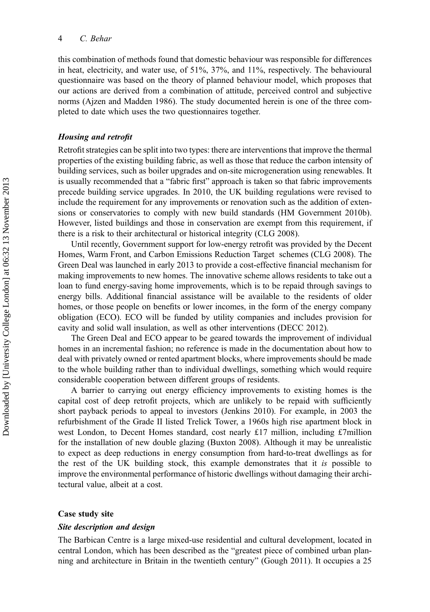this combination of methods found that domestic behaviour was responsible for differences in heat, electricity, and water use, of 51%, 37%, and 11%, respectively. The behavioural questionnaire was based on the theory of planned behaviour model, which proposes that our actions are derived from a combination of attitude, perceived control and subjective norms (Ajzen and Madden 1986). The study documented herein is one of the three completed to date which uses the two questionnaires together.

## Housing and retrofit

Retrofit strategies can be split into two types: there are interventions that improve the thermal properties of the existing building fabric, as well as those that reduce the carbon intensity of building services, such as boiler upgrades and on-site microgeneration using renewables. It is usually recommended that a "fabric first" approach is taken so that fabric improvements precede building service upgrades. In 2010, the UK building regulations were revised to include the requirement for any improvements or renovation such as the addition of extensions or conservatories to comply with new build standards (HM Government 2010b). However, listed buildings and those in conservation are exempt from this requirement, if there is a risk to their architectural or historical integrity (CLG 2008).

Until recently, Government support for low-energy retrofit was provided by the Decent Homes, Warm Front, and Carbon Emissions Reduction Target schemes (CLG 2008). The Green Deal was launched in early 2013 to provide a cost-effective financial mechanism for making improvements to new homes. The innovative scheme allows residents to take out a loan to fund energy-saving home improvements, which is to be repaid through savings to energy bills. Additional financial assistance will be available to the residents of older homes, or those people on benefits or lower incomes, in the form of the energy company obligation (ECO). ECO will be funded by utility companies and includes provision for cavity and solid wall insulation, as well as other interventions (DECC 2012).

The Green Deal and ECO appear to be geared towards the improvement of individual homes in an incremental fashion; no reference is made in the documentation about how to deal with privately owned or rented apartment blocks, where improvements should be made to the whole building rather than to individual dwellings, something which would require considerable cooperation between different groups of residents.

A barrier to carrying out energy efficiency improvements to existing homes is the capital cost of deep retrofit projects, which are unlikely to be repaid with sufficiently short payback periods to appeal to investors (Jenkins 2010). For example, in 2003 the refurbishment of the Grade II listed Trelick Tower, a 1960s high rise apartment block in west London, to Decent Homes standard, cost nearly £17 million, including  $\pounds$ 7 million for the installation of new double glazing (Buxton 2008). Although it may be unrealistic to expect as deep reductions in energy consumption from hard-to-treat dwellings as for the rest of the UK building stock, this example demonstrates that it is possible to improve the environmental performance of historic dwellings without damaging their architectural value, albeit at a cost.

#### Case study site

# Site description and design

The Barbican Centre is a large mixed-use residential and cultural development, located in central London, which has been described as the "greatest piece of combined urban planning and architecture in Britain in the twentieth century" (Gough 2011). It occupies a 25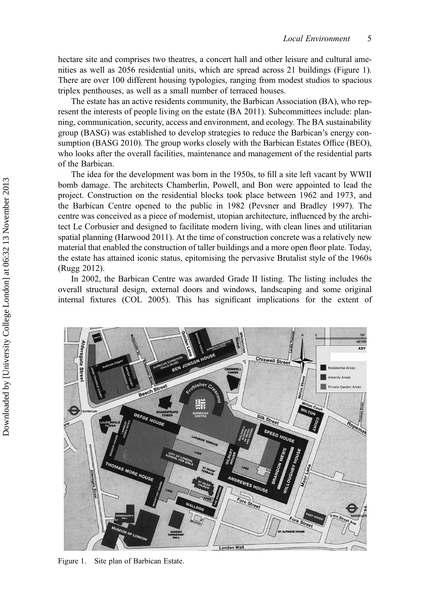hectare site and comprises two theatres, a concert hall and other leisure and cultural amenities as well as 2056 residential units, which are spread across 21 buildings (Figure 1). There are over 100 different housing typologies, ranging from modest studios to spacious triplex penthouses, as well as a small number of terraced houses.

The estate has an active residents community, the Barbican Association (BA), who represent the interests of people living on the estate (BA 2011). Subcommittees include: planning, communication, security, access and environment, and ecology. The BA sustainability group (BASG) was established to develop strategies to reduce the Barbican's energy consumption (BASG 2010). The group works closely with the Barbican Estates Office (BEO), who looks after the overall facilities, maintenance and management of the residential parts of the Barbican.

The idea for the development was born in the 1950s, to fill a site left vacant by WWII bomb damage. The architects Chamberlin, Powell, and Bon were appointed to lead the project. Construction on the residential blocks took place between 1962 and 1973, and the Barbican Centre opened to the public in 1982 (Pevsner and Bradley 1997). The centre was conceived as a piece of modernist, utopian architecture, influenced by the architect Le Corbusier and designed to facilitate modern living, with clean lines and utilitarian spatial planning (Harwood 2011). At the time of construction concrete was a relatively new material that enabled the construction of taller buildings and a more open floor plate. Today, the estate has attained iconic status, epitomising the pervasive Brutalist style of the 1960s (Rugg 2012).

In 2002, the Barbican Centre was awarded Grade II listing. The listing includes the overall structural design, external doors and windows, landscaping and some original internal fixtures (COL 2005). This has significant implications for the extent of



Figure 1. Site plan of Barbican Estate.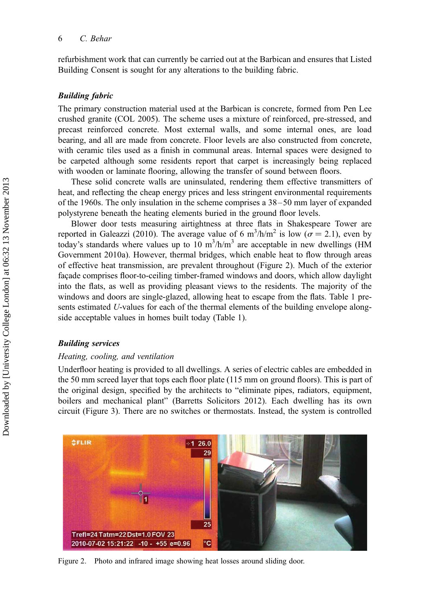refurbishment work that can currently be carried out at the Barbican and ensures that Listed Building Consent is sought for any alterations to the building fabric.

# Building fabric

The primary construction material used at the Barbican is concrete, formed from Pen Lee crushed granite (COL 2005). The scheme uses a mixture of reinforced, pre-stressed, and precast reinforced concrete. Most external walls, and some internal ones, are load bearing, and all are made from concrete. Floor levels are also constructed from concrete, with ceramic tiles used as a finish in communal areas. Internal spaces were designed to be carpeted although some residents report that carpet is increasingly being replaced with wooden or laminate flooring, allowing the transfer of sound between floors.

These solid concrete walls are uninsulated, rendering them effective transmitters of heat, and reflecting the cheap energy prices and less stringent environmental requirements of the 1960s. The only insulation in the scheme comprises a 38– 50 mm layer of expanded polystyrene beneath the heating elements buried in the ground floor levels.

Blower door tests measuring airtightness at three flats in Shakespeare Tower are reported in Galeazzi (2010). The average value of 6 m<sup>3</sup>/h/m<sup>2</sup> is low ( $\sigma$  = 2.1), even by today's standards where values up to  $10 \text{ m}^3/\text{h/m}^3$  are acceptable in new dwellings (HM Government 2010a). However, thermal bridges, which enable heat to flow through areas of effective heat transmission, are prevalent throughout (Figure 2). Much of the exterior facade comprises floor-to-ceiling timber-framed windows and doors, which allow daylight into the flats, as well as providing pleasant views to the residents. The majority of the windows and doors are single-glazed, allowing heat to escape from the flats. Table 1 presents estimated U-values for each of the thermal elements of the building envelope alongside acceptable values in homes built today (Table 1).

# Building services

# Heating, cooling, and ventilation

Underfloor heating is provided to all dwellings. A series of electric cables are embedded in the 50 mm screed layer that tops each floor plate (115 mm on ground floors). This is part of the original design, specified by the architects to "eliminate pipes, radiators, equipment, boilers and mechanical plant" (Barretts Solicitors 2012). Each dwelling has its own circuit (Figure 3). There are no switches or thermostats. Instead, the system is controlled



Figure 2. Photo and infrared image showing heat losses around sliding door.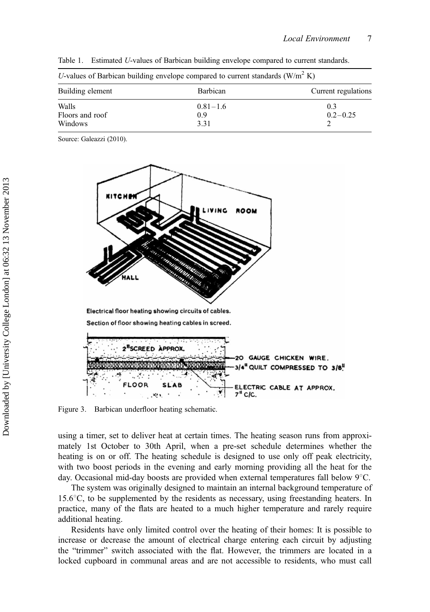|  | Table 1. Estimated U-values of Barbican building envelope compared to current standards |  |  |  |  |  |  |  |
|--|-----------------------------------------------------------------------------------------|--|--|--|--|--|--|--|
|--|-----------------------------------------------------------------------------------------|--|--|--|--|--|--|--|

| U-values of Barbican building envelope compared to current standards $(W/m^2 K)$ |              |                     |  |  |  |  |
|----------------------------------------------------------------------------------|--------------|---------------------|--|--|--|--|
| Building element                                                                 | Barbican     | Current regulations |  |  |  |  |
| Walls                                                                            | $0.81 - 1.6$ | 0.3                 |  |  |  |  |
| Floors and roof                                                                  | 0.9          | $0.2 - 0.25$        |  |  |  |  |
| Windows                                                                          | 3.31         |                     |  |  |  |  |

Source: Galeazzi (2010).

KITCHER LIVING ROOM urania<br>Santa Electrical floor heating showing circuits of cables. Section of floor showing heating cables in screed. 2"SCREED APPROX. 20 GAUGE CHICKEN WIRE 3/4" QUILT COMPRESSED TO 3/8" Х. l, **FLOOR SLAB** ELECTRIC CABLE AT APPROX.  $\mathbf{v}$  $7<sup>0</sup>$  C/C.  $\mathcal{R}$ 

Figure 3. Barbican underfloor heating schematic.

using a timer, set to deliver heat at certain times. The heating season runs from approximately 1st October to 30th April, when a pre-set schedule determines whether the heating is on or off. The heating schedule is designed to use only off peak electricity, with two boost periods in the evening and early morning providing all the heat for the day. Occasional mid-day boosts are provided when external temperatures fall below  $9^{\circ}$ C.

The system was originally designed to maintain an internal background temperature of  $15.6^{\circ}$ C, to be supplemented by the residents as necessary, using freestanding heaters. In practice, many of the flats are heated to a much higher temperature and rarely require additional heating.

Residents have only limited control over the heating of their homes: It is possible to increase or decrease the amount of electrical charge entering each circuit by adjusting the "trimmer" switch associated with the flat. However, the trimmers are located in a locked cupboard in communal areas and are not accessible to residents, who must call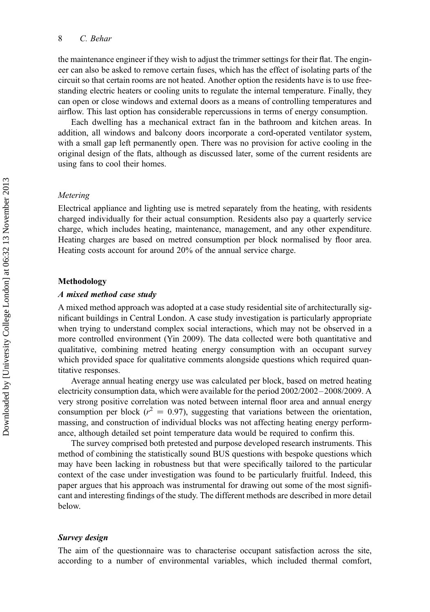the maintenance engineer if they wish to adjust the trimmer settings for their flat. The engineer can also be asked to remove certain fuses, which has the effect of isolating parts of the circuit so that certain rooms are not heated. Another option the residents have is to use freestanding electric heaters or cooling units to regulate the internal temperature. Finally, they can open or close windows and external doors as a means of controlling temperatures and airflow. This last option has considerable repercussions in terms of energy consumption.

Each dwelling has a mechanical extract fan in the bathroom and kitchen areas. In addition, all windows and balcony doors incorporate a cord-operated ventilator system, with a small gap left permanently open. There was no provision for active cooling in the original design of the flats, although as discussed later, some of the current residents are using fans to cool their homes.

## Metering

Electrical appliance and lighting use is metred separately from the heating, with residents charged individually for their actual consumption. Residents also pay a quarterly service charge, which includes heating, maintenance, management, and any other expenditure. Heating charges are based on metred consumption per block normalised by floor area. Heating costs account for around 20% of the annual service charge.

#### Methodology

### A mixed method case study

A mixed method approach was adopted at a case study residential site of architecturally significant buildings in Central London. A case study investigation is particularly appropriate when trying to understand complex social interactions, which may not be observed in a more controlled environment (Yin 2009). The data collected were both quantitative and qualitative, combining metred heating energy consumption with an occupant survey which provided space for qualitative comments alongside questions which required quantitative responses.

Average annual heating energy use was calculated per block, based on metred heating electricity consumption data, which were available for the period 2002/2002– 2008/2009. A very strong positive correlation was noted between internal floor area and annual energy consumption per block ( $r^2 = 0.97$ ), suggesting that variations between the orientation, massing, and construction of individual blocks was not affecting heating energy performance, although detailed set point temperature data would be required to confirm this.

The survey comprised both pretested and purpose developed research instruments. This method of combining the statistically sound BUS questions with bespoke questions which may have been lacking in robustness but that were specifically tailored to the particular context of the case under investigation was found to be particularly fruitful. Indeed, this paper argues that his approach was instrumental for drawing out some of the most significant and interesting findings of the study. The different methods are described in more detail below.

## Survey design

The aim of the questionnaire was to characterise occupant satisfaction across the site, according to a number of environmental variables, which included thermal comfort,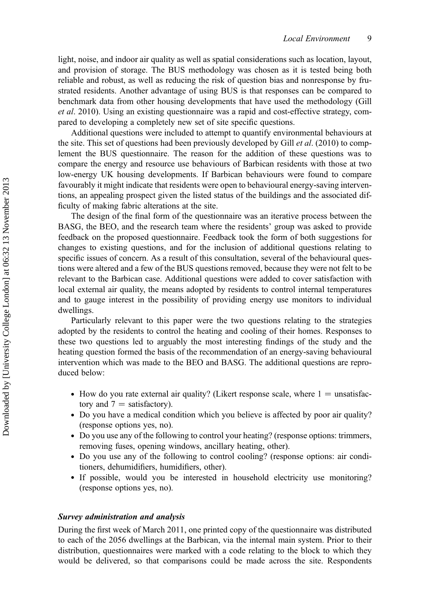light, noise, and indoor air quality as well as spatial considerations such as location, layout, and provision of storage. The BUS methodology was chosen as it is tested being both reliable and robust, as well as reducing the risk of question bias and nonresponse by frustrated residents. Another advantage of using BUS is that responses can be compared to benchmark data from other housing developments that have used the methodology (Gill et al. 2010). Using an existing questionnaire was a rapid and cost-effective strategy, compared to developing a completely new set of site specific questions.

Additional questions were included to attempt to quantify environmental behaviours at the site. This set of questions had been previously developed by Gill *et al.* (2010) to complement the BUS questionnaire. The reason for the addition of these questions was to compare the energy and resource use behaviours of Barbican residents with those at two low-energy UK housing developments. If Barbican behaviours were found to compare favourably it might indicate that residents were open to behavioural energy-saving interventions, an appealing prospect given the listed status of the buildings and the associated difficulty of making fabric alterations at the site.

The design of the final form of the questionnaire was an iterative process between the BASG, the BEO, and the research team where the residents' group was asked to provide feedback on the proposed questionnaire. Feedback took the form of both suggestions for changes to existing questions, and for the inclusion of additional questions relating to specific issues of concern. As a result of this consultation, several of the behavioural questions were altered and a few of the BUS questions removed, because they were not felt to be relevant to the Barbican case. Additional questions were added to cover satisfaction with local external air quality, the means adopted by residents to control internal temperatures and to gauge interest in the possibility of providing energy use monitors to individual dwellings.

Particularly relevant to this paper were the two questions relating to the strategies adopted by the residents to control the heating and cooling of their homes. Responses to these two questions led to arguably the most interesting findings of the study and the heating question formed the basis of the recommendation of an energy-saving behavioural intervention which was made to the BEO and BASG. The additional questions are reproduced below:

- How do you rate external air quality? (Likert response scale, where  $1 =$  unsatisfactory and  $7 =$  satisfactory).
- . Do you have a medical condition which you believe is affected by poor air quality? (response options yes, no).
- . Do you use any of the following to control your heating? (response options: trimmers, removing fuses, opening windows, ancillary heating, other).
- . Do you use any of the following to control cooling? (response options: air conditioners, dehumidifiers, humidifiers, other).
- . If possible, would you be interested in household electricity use monitoring? (response options yes, no).

## Survey administration and analysis

During the first week of March 2011, one printed copy of the questionnaire was distributed to each of the 2056 dwellings at the Barbican, via the internal main system. Prior to their distribution, questionnaires were marked with a code relating to the block to which they would be delivered, so that comparisons could be made across the site. Respondents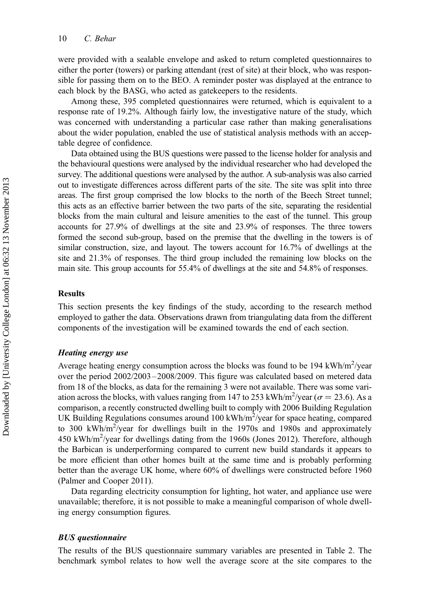were provided with a sealable envelope and asked to return completed questionnaires to either the porter (towers) or parking attendant (rest of site) at their block, who was responsible for passing them on to the BEO. A reminder poster was displayed at the entrance to each block by the BASG, who acted as gatekeepers to the residents.

Among these, 395 completed questionnaires were returned, which is equivalent to a response rate of 19.2%. Although fairly low, the investigative nature of the study, which was concerned with understanding a particular case rather than making generalisations about the wider population, enabled the use of statistical analysis methods with an acceptable degree of confidence.

Data obtained using the BUS questions were passed to the license holder for analysis and the behavioural questions were analysed by the individual researcher who had developed the survey. The additional questions were analysed by the author. A sub-analysis was also carried out to investigate differences across different parts of the site. The site was split into three areas. The first group comprised the low blocks to the north of the Beech Street tunnel; this acts as an effective barrier between the two parts of the site, separating the residential blocks from the main cultural and leisure amenities to the east of the tunnel. This group accounts for 27.9% of dwellings at the site and 23.9% of responses. The three towers formed the second sub-group, based on the premise that the dwelling in the towers is of similar construction, size, and layout. The towers account for 16.7% of dwellings at the site and 21.3% of responses. The third group included the remaining low blocks on the main site. This group accounts for 55.4% of dwellings at the site and 54.8% of responses.

## Results

This section presents the key findings of the study, according to the research method employed to gather the data. Observations drawn from triangulating data from the different components of the investigation will be examined towards the end of each section.

## Heating energy use

Average heating energy consumption across the blocks was found to be 194 kWh/m<sup>2</sup>/year over the period 2002/2003 – 2008/2009. This figure was calculated based on metered data from 18 of the blocks, as data for the remaining 3 were not available. There was some variation across the blocks, with values ranging from 147 to 253 kWh/m<sup>2</sup>/year ( $\sigma$  = 23.6). As a comparison, a recently constructed dwelling built to comply with 2006 Building Regulation UK Building Regulations consumes around  $100 \text{ kWh/m}^2$ /year for space heating, compared to 300 kWh/m<sup>2</sup>/year for dwellings built in the 1970s and 1980s and approximately 450 kWh/m<sup>2</sup>/year for dwellings dating from the 1960s (Jones 2012). Therefore, although the Barbican is underperforming compared to current new build standards it appears to be more efficient than other homes built at the same time and is probably performing better than the average UK home, where 60% of dwellings were constructed before 1960 (Palmer and Cooper 2011).

Data regarding electricity consumption for lighting, hot water, and appliance use were unavailable; therefore, it is not possible to make a meaningful comparison of whole dwelling energy consumption figures.

#### BUS questionnaire

The results of the BUS questionnaire summary variables are presented in Table 2. The benchmark symbol relates to how well the average score at the site compares to the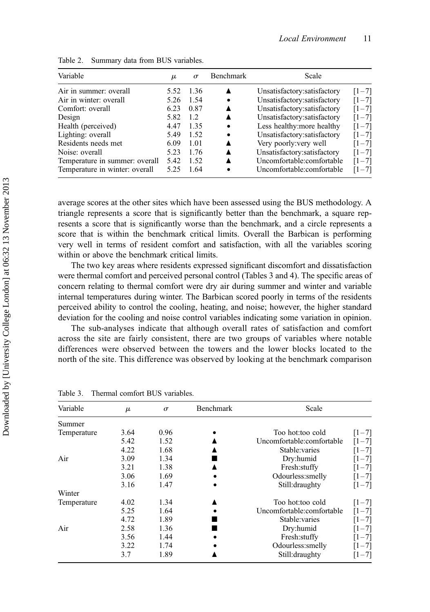| Variable                       | $\mu$ | $\sigma$ | <b>Benchmark</b> | Scale                       |         |
|--------------------------------|-------|----------|------------------|-----------------------------|---------|
| Air in summer: overall         | 5.52  | 1.36     |                  | Unsatisfactory:satisfactory | $[1-7]$ |
| Air in winter: overall         | 5.26  | 1.54     | ٠                | Unsatisfactory:satisfactory | $[1-7]$ |
| Comfort: overall               | 6.23  | 0.87     |                  | Unsatisfactory:satisfactory | $[1-7]$ |
| Design                         | 5.82  | 1.2      |                  | Unsatisfactory:satisfactory | $[1-7]$ |
| Health (perceived)             | 4.47  | 1.35     | $\bullet$        | Less healthy: more healthy  | $[1-7]$ |
| Lighting: overall              | 5.49  | 1.52     | $\bullet$        | Unsatisfactory:satisfactory | $[1-7]$ |
| Residents needs met            | 6.09  | 1.01     |                  | Very poorly: very well      | $[1-7]$ |
| Noise: overall                 | 5.23  | 1.76     |                  | Unsatisfactory:satisfactory | $[1-7]$ |
| Temperature in summer: overall | 5.42  | 1.52     |                  | Uncomfortable:comfortable   | $[1-7]$ |
| Temperature in winter: overall | 5.25  | 1.64     | ٠                | Uncomfortable:comfortable   | $[1-7]$ |

Table 2. Summary data from BUS variables.

average scores at the other sites which have been assessed using the BUS methodology. A triangle represents a score that is significantly better than the benchmark, a square represents a score that is significantly worse than the benchmark, and a circle represents a score that is within the benchmark critical limits. Overall the Barbican is performing very well in terms of resident comfort and satisfaction, with all the variables scoring within or above the benchmark critical limits.

The two key areas where residents expressed significant discomfort and dissatisfaction were thermal comfort and perceived personal control (Tables 3 and 4). The specific areas of concern relating to thermal comfort were dry air during summer and winter and variable internal temperatures during winter. The Barbican scored poorly in terms of the residents perceived ability to control the cooling, heating, and noise; however, the higher standard deviation for the cooling and noise control variables indicating some variation in opinion.

The sub-analyses indicate that although overall rates of satisfaction and comfort across the site are fairly consistent, there are two groups of variables where notable differences were observed between the towers and the lower blocks located to the north of the site. This difference was observed by looking at the benchmark comparison

| Variable    | $\mu$ | $\sigma$ | Benchmark | Scale                     |           |
|-------------|-------|----------|-----------|---------------------------|-----------|
| Summer      |       |          |           |                           |           |
| Temperature | 3.64  | 0.96     |           | Too hot:too cold          | $[1-7]$   |
|             | 5.42  | 1.52     |           | Uncomfortable:comfortable | $[1 - 7]$ |
|             | 4.22  | 1.68     |           | Stable: varies            | $[1-7]$   |
| Air         | 3.09  | 1.34     |           | Dry:humid                 | $[1-7]$   |
|             | 3.21  | 1.38     |           | Fresh:stuffy              | $[1-7]$   |
|             | 3.06  | 1.69     |           | Odourless: smelly         | $[1-7]$   |
|             | 3.16  | 1.47     |           | Still: draughty           | $[1-7]$   |
| Winter      |       |          |           |                           |           |
| Temperature | 4.02  | 1.34     |           | Too hot:too cold          | $[1-7]$   |
|             | 5.25  | 1.64     |           | Uncomfortable:comfortable | $[1-7]$   |
|             | 4.72  | 1.89     |           | Stable: varies            | $[1-7]$   |
| Air         | 2.58  | 1.36     |           | Dry:humid                 | $[1-7]$   |
|             | 3.56  | 1.44     |           | Fresh:stuffy              | $[1-7]$   |
|             | 3.22  | 1.74     |           | Odourless: smelly         | $[1-7]$   |
|             | 3.7   | 1.89     |           | Still: draughty           | $ 1 - 7 $ |

Table 3. Thermal comfort BUS variables.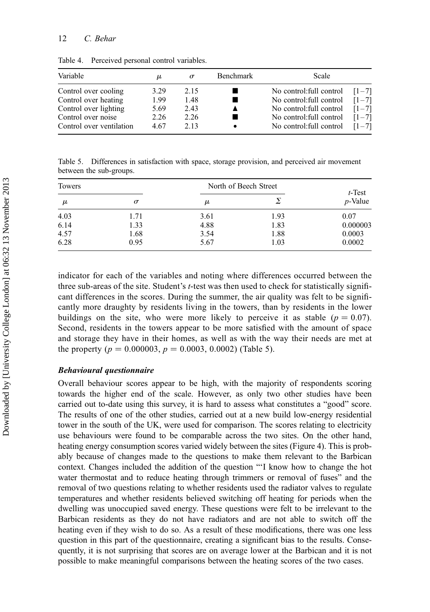| Variable                 | μ    | $\sigma$ | Benchmark | Scale                    |           |
|--------------------------|------|----------|-----------|--------------------------|-----------|
| Control over cooling     | 3.29 | 2.15     |           | No control: full control | $[1-7]$   |
| Control over heating     | 1.99 | 1.48     |           | No control: full control | $[1 - 7]$ |
| Control over lighting    | 5.69 | 2.43     |           | No control: full control | $[1 - 7]$ |
| Control over noise       | 2.26 | 2.26     |           | No control: full control | $[1 - 7]$ |
| Control over ventilation | 4.67 | 2.13     |           | No control: full control | $[1 - 7]$ |

Table 4. Perceived personal control variables.

Table 5. Differences in satisfaction with space, storage provision, and perceived air movement between the sub-groups.

| Towers |          | North of Beech Street | $t$ -Test |            |
|--------|----------|-----------------------|-----------|------------|
| μ      | $\sigma$ | μ                     |           | $p$ -Value |
| 4.03   | 1.71     | 3.61                  | 1.93      | 0.07       |
| 6.14   | 1.33     | 4.88                  | 1.83      | 0.000003   |
| 4.57   | 1.68     | 3.54                  | 1.88      | 0.0003     |
| 6.28   | 0.95     | 5.67                  | 1.03      | 0.0002     |

indicator for each of the variables and noting where differences occurred between the three sub-areas of the site. Student's t-test was then used to check for statistically significant differences in the scores. During the summer, the air quality was felt to be significantly more draughty by residents living in the towers, than by residents in the lower buildings on the site, who were more likely to perceive it as stable ( $p = 0.07$ ). Second, residents in the towers appear to be more satisfied with the amount of space and storage they have in their homes, as well as with the way their needs are met at the property ( $p = 0.000003$ ,  $p = 0.0003$ , 0.0002) (Table 5).

## Behavioural questionnaire

Overall behaviour scores appear to be high, with the majority of respondents scoring towards the higher end of the scale. However, as only two other studies have been carried out to-date using this survey, it is hard to assess what constitutes a "good" score. The results of one of the other studies, carried out at a new build low-energy residential tower in the south of the UK, were used for comparison. The scores relating to electricity use behaviours were found to be comparable across the two sites. On the other hand, heating energy consumption scores varied widely between the sites (Figure 4). This is probably because of changes made to the questions to make them relevant to the Barbican context. Changes included the addition of the question "'I know how to change the hot water thermostat and to reduce heating through trimmers or removal of fuses" and the removal of two questions relating to whether residents used the radiator valves to regulate temperatures and whether residents believed switching off heating for periods when the dwelling was unoccupied saved energy. These questions were felt to be irrelevant to the Barbican residents as they do not have radiators and are not able to switch off the heating even if they wish to do so. As a result of these modifications, there was one less question in this part of the questionnaire, creating a significant bias to the results. Consequently, it is not surprising that scores are on average lower at the Barbican and it is not possible to make meaningful comparisons between the heating scores of the two cases.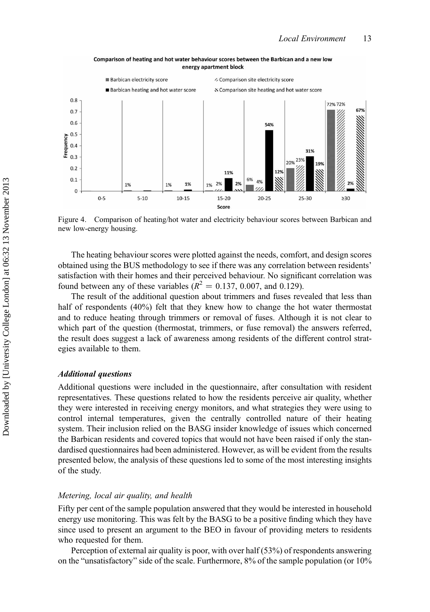

Comparison of heating and hot water behaviour scores between the Barbican and a new low energy apartment block

Figure 4. Comparison of heating/hot water and electricity behaviour scores between Barbican and new low-energy housing.

The heating behaviour scores were plotted against the needs, comfort, and design scores obtained using the BUS methodology to see if there was any correlation between residents' satisfaction with their homes and their perceived behaviour. No significant correlation was found between any of these variables  $\overrightarrow{R^2}$  = 0.137, 0.007, and 0.129).

The result of the additional question about trimmers and fuses revealed that less than half of respondents (40%) felt that they knew how to change the hot water thermostat and to reduce heating through trimmers or removal of fuses. Although it is not clear to which part of the question (thermostat, trimmers, or fuse removal) the answers referred, the result does suggest a lack of awareness among residents of the different control strategies available to them.

## Additional questions

Additional questions were included in the questionnaire, after consultation with resident representatives. These questions related to how the residents perceive air quality, whether they were interested in receiving energy monitors, and what strategies they were using to control internal temperatures, given the centrally controlled nature of their heating system. Their inclusion relied on the BASG insider knowledge of issues which concerned the Barbican residents and covered topics that would not have been raised if only the standardised questionnaires had been administered. However, as will be evident from the results presented below, the analysis of these questions led to some of the most interesting insights of the study.

## Metering, local air quality, and health

Fifty per cent of the sample population answered that they would be interested in household energy use monitoring. This was felt by the BASG to be a positive finding which they have since used to present an argument to the BEO in favour of providing meters to residents who requested for them.

Perception of external air quality is poor, with over half (53%) of respondents answering on the "unsatisfactory" side of the scale. Furthermore, 8% of the sample population (or 10%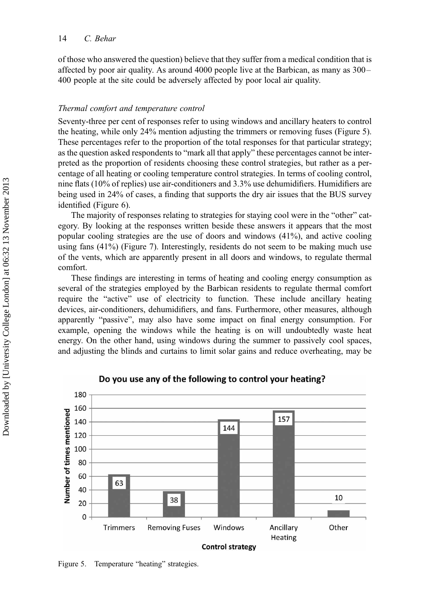of those who answered the question) believe that they suffer from a medical condition that is affected by poor air quality. As around 4000 people live at the Barbican, as many as 300– 400 people at the site could be adversely affected by poor local air quality.

# Thermal comfort and temperature control

Seventy-three per cent of responses refer to using windows and ancillary heaters to control the heating, while only 24% mention adjusting the trimmers or removing fuses (Figure 5). These percentages refer to the proportion of the total responses for that particular strategy; as the question asked respondents to "mark all that apply" these percentages cannot be interpreted as the proportion of residents choosing these control strategies, but rather as a percentage of all heating or cooling temperature control strategies. In terms of cooling control, nine flats (10% of replies) use air-conditioners and 3.3% use dehumidifiers. Humidifiers are being used in 24% of cases, a finding that supports the dry air issues that the BUS survey identified (Figure 6).

The majority of responses relating to strategies for staying cool were in the "other" category. By looking at the responses written beside these answers it appears that the most popular cooling strategies are the use of doors and windows (41%), and active cooling using fans (41%) (Figure 7). Interestingly, residents do not seem to be making much use of the vents, which are apparently present in all doors and windows, to regulate thermal comfort.

These findings are interesting in terms of heating and cooling energy consumption as several of the strategies employed by the Barbican residents to regulate thermal comfort require the "active" use of electricity to function. These include ancillary heating devices, air-conditioners, dehumidifiers, and fans. Furthermore, other measures, although apparently "passive", may also have some impact on final energy consumption. For example, opening the windows while the heating is on will undoubtedly waste heat energy. On the other hand, using windows during the summer to passively cool spaces, and adjusting the blinds and curtains to limit solar gains and reduce overheating, may be



Do you use any of the following to control your heating?

Figure 5. Temperature "heating" strategies.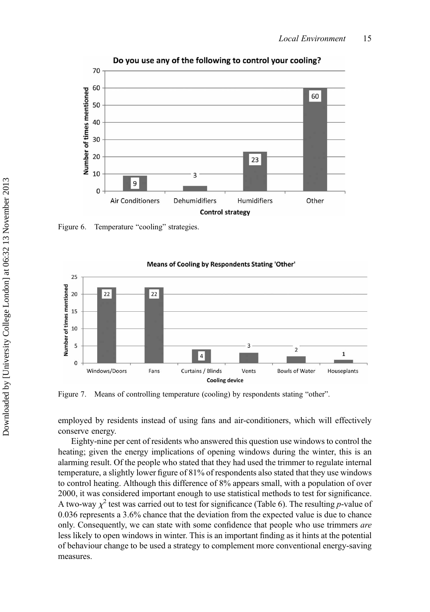

Do you use any of the following to control your cooling?

Figure 6. Temperature "cooling" strategies.



# Means of Cooling by Respondents Stating 'Other'

Figure 7. Means of controlling temperature (cooling) by respondents stating "other".

employed by residents instead of using fans and air-conditioners, which will effectively conserve energy.

Eighty-nine per cent of residents who answered this question use windows to control the heating; given the energy implications of opening windows during the winter, this is an alarming result. Of the people who stated that they had used the trimmer to regulate internal temperature, a slightly lower figure of 81% of respondents also stated that they use windows to control heating. Although this difference of 8% appears small, with a population of over 2000, it was considered important enough to use statistical methods to test for significance. A two-way  $\chi^2$  test was carried out to test for significance (Table 6). The resulting p-value of 0.036 represents a 3.6% chance that the deviation from the expected value is due to chance only. Consequently, we can state with some confidence that people who use trimmers are less likely to open windows in winter. This is an important finding as it hints at the potential of behaviour change to be used a strategy to complement more conventional energy-saving measures.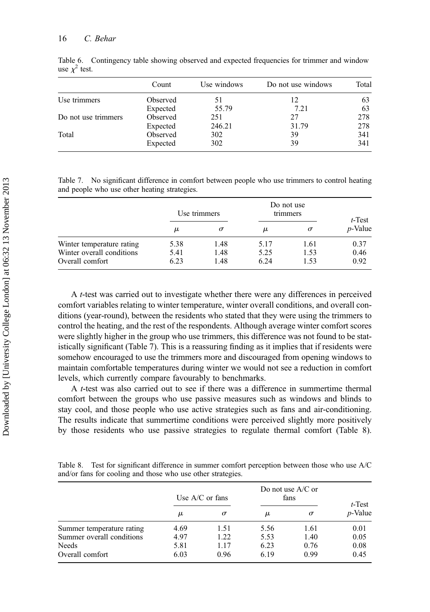|                     | Count    | Use windows | Do not use windows | Total |
|---------------------|----------|-------------|--------------------|-------|
| Use trimmers        | Observed | 51          | 12                 | 63    |
|                     | Expected | 55.79       | 7.21               | 63    |
| Do not use trimmers | Observed | 251         | 27                 | 278   |
|                     | Expected | 246.21      | 31.79              | 278   |
| Total               | Observed | 302         | 39                 | 341   |
|                     | Expected | 302         | 39                 | 341   |

Table 6. Contingency table showing observed and expected frequencies for trimmer and window use  $\chi^2$  test.

Table 7. No significant difference in comfort between people who use trimmers to control heating and people who use other heating strategies.

|                           |      | Use trimmers | Do not use<br>trimmers | $t$ -Test |            |
|---------------------------|------|--------------|------------------------|-----------|------------|
|                           | μ    | $\sigma$     | μ                      | $\sigma$  | $p$ -Value |
| Winter temperature rating | 5.38 | 1.48         | 5.17                   | 1.61      | 0.37       |
| Winter overall conditions | 5.41 | 1.48         | 5.25                   | 1.53      | 0.46       |
| Overall comfort           | 6.23 | 1.48         | 6.24                   | 1.53      | 0.92       |

A t-test was carried out to investigate whether there were any differences in perceived comfort variables relating to winter temperature, winter overall conditions, and overall conditions (year-round), between the residents who stated that they were using the trimmers to control the heating, and the rest of the respondents. Although average winter comfort scores were slightly higher in the group who use trimmers, this difference was not found to be statistically significant (Table 7). This is a reassuring finding as it implies that if residents were somehow encouraged to use the trimmers more and discouraged from opening windows to maintain comfortable temperatures during winter we would not see a reduction in comfort levels, which currently compare favourably to benchmarks.

A t-test was also carried out to see if there was a difference in summertime thermal comfort between the groups who use passive measures such as windows and blinds to stay cool, and those people who use active strategies such as fans and air-conditioning. The results indicate that summertime conditions were perceived slightly more positively by those residents who use passive strategies to regulate thermal comfort (Table 8).

Table 8. Test for significant difference in summer comfort perception between those who use A/C and/or fans for cooling and those who use other strategies.

|                           |      | Use $A/C$ or fans | Do not use $A/C$ or<br>fans | $t$ -Test |            |
|---------------------------|------|-------------------|-----------------------------|-----------|------------|
|                           | μ    | $\sigma$          | μ                           | $\sigma$  | $p$ -Value |
| Summer temperature rating | 4.69 | 1.51              | 5.56                        | 1.61      | 0.01       |
| Summer overall conditions | 4.97 | 1.22              | 5.53                        | 1.40      | 0.05       |
| Needs                     | 5.81 | 1.17              | 6.23                        | 0.76      | 0.08       |
| Overall comfort           | 6.03 | 0.96              | 6.19                        | 0.99      | 0.45       |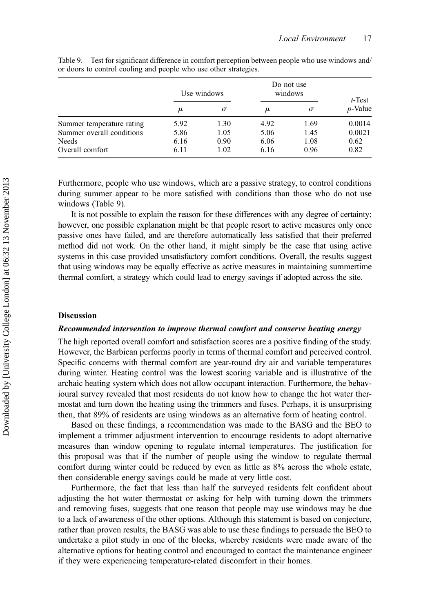|                           |      | Use windows | Do not use<br>windows | $t$ -Test |            |
|---------------------------|------|-------------|-----------------------|-----------|------------|
|                           | μ    | $\sigma$    | μ                     | $\sigma$  | $p$ -Value |
| Summer temperature rating | 5.92 | 1.30        | 4.92                  | 1.69      | 0.0014     |
| Summer overall conditions | 5.86 | 1.05        | 5.06                  | 1.45      | 0.0021     |
| Needs                     | 6.16 | 0.90        | 6.06                  | 1.08      | 0.62       |
| Overall comfort           | 6.11 | 1.02        | 6.16                  | 0.96      | 0.82       |

Table 9. Test for significant difference in comfort perception between people who use windows and/ or doors to control cooling and people who use other strategies.

Furthermore, people who use windows, which are a passive strategy, to control conditions during summer appear to be more satisfied with conditions than those who do not use windows (Table 9).

It is not possible to explain the reason for these differences with any degree of certainty; however, one possible explanation might be that people resort to active measures only once passive ones have failed, and are therefore automatically less satisfied that their preferred method did not work. On the other hand, it might simply be the case that using active systems in this case provided unsatisfactory comfort conditions. Overall, the results suggest that using windows may be equally effective as active measures in maintaining summertime thermal comfort, a strategy which could lead to energy savings if adopted across the site.

## **Discussion**

# Recommended intervention to improve thermal comfort and conserve heating energy

The high reported overall comfort and satisfaction scores are a positive finding of the study. However, the Barbican performs poorly in terms of thermal comfort and perceived control. Specific concerns with thermal comfort are year-round dry air and variable temperatures during winter. Heating control was the lowest scoring variable and is illustrative of the archaic heating system which does not allow occupant interaction. Furthermore, the behavioural survey revealed that most residents do not know how to change the hot water thermostat and turn down the heating using the trimmers and fuses. Perhaps, it is unsurprising then, that 89% of residents are using windows as an alternative form of heating control.

Based on these findings, a recommendation was made to the BASG and the BEO to implement a trimmer adjustment intervention to encourage residents to adopt alternative measures than window opening to regulate internal temperatures. The justification for this proposal was that if the number of people using the window to regulate thermal comfort during winter could be reduced by even as little as 8% across the whole estate, then considerable energy savings could be made at very little cost.

Furthermore, the fact that less than half the surveyed residents felt confident about adjusting the hot water thermostat or asking for help with turning down the trimmers and removing fuses, suggests that one reason that people may use windows may be due to a lack of awareness of the other options. Although this statement is based on conjecture, rather than proven results, the BASG was able to use these findings to persuade the BEO to undertake a pilot study in one of the blocks, whereby residents were made aware of the alternative options for heating control and encouraged to contact the maintenance engineer if they were experiencing temperature-related discomfort in their homes.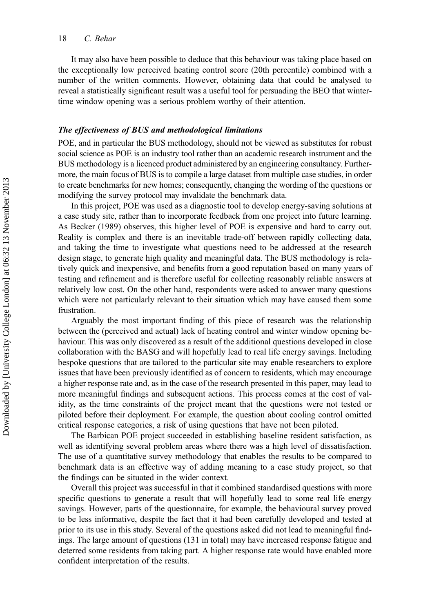It may also have been possible to deduce that this behaviour was taking place based on the exceptionally low perceived heating control score (20th percentile) combined with a number of the written comments. However, obtaining data that could be analysed to reveal a statistically significant result was a useful tool for persuading the BEO that wintertime window opening was a serious problem worthy of their attention.

# The effectiveness of BUS and methodological limitations

POE, and in particular the BUS methodology, should not be viewed as substitutes for robust social science as POE is an industry tool rather than an academic research instrument and the BUS methodology is a licenced product administered by an engineering consultancy. Furthermore, the main focus of BUS is to compile a large dataset from multiple case studies, in order to create benchmarks for new homes; consequently, changing the wording of the questions or modifying the survey protocol may invalidate the benchmark data.

In this project, POE was used as a diagnostic tool to develop energy-saving solutions at a case study site, rather than to incorporate feedback from one project into future learning. As Becker (1989) observes, this higher level of POE is expensive and hard to carry out. Reality is complex and there is an inevitable trade-off between rapidly collecting data, and taking the time to investigate what questions need to be addressed at the research design stage, to generate high quality and meaningful data. The BUS methodology is relatively quick and inexpensive, and benefits from a good reputation based on many years of testing and refinement and is therefore useful for collecting reasonably reliable answers at relatively low cost. On the other hand, respondents were asked to answer many questions which were not particularly relevant to their situation which may have caused them some frustration.

Arguably the most important finding of this piece of research was the relationship between the (perceived and actual) lack of heating control and winter window opening behaviour. This was only discovered as a result of the additional questions developed in close collaboration with the BASG and will hopefully lead to real life energy savings. Including bespoke questions that are tailored to the particular site may enable researchers to explore issues that have been previously identified as of concern to residents, which may encourage a higher response rate and, as in the case of the research presented in this paper, may lead to more meaningful findings and subsequent actions. This process comes at the cost of validity, as the time constraints of the project meant that the questions were not tested or piloted before their deployment. For example, the question about cooling control omitted critical response categories, a risk of using questions that have not been piloted.

The Barbican POE project succeeded in establishing baseline resident satisfaction, as well as identifying several problem areas where there was a high level of dissatisfaction. The use of a quantitative survey methodology that enables the results to be compared to benchmark data is an effective way of adding meaning to a case study project, so that the findings can be situated in the wider context.

Overall this project was successful in that it combined standardised questions with more specific questions to generate a result that will hopefully lead to some real life energy savings. However, parts of the questionnaire, for example, the behavioural survey proved to be less informative, despite the fact that it had been carefully developed and tested at prior to its use in this study. Several of the questions asked did not lead to meaningful findings. The large amount of questions (131 in total) may have increased response fatigue and deterred some residents from taking part. A higher response rate would have enabled more confident interpretation of the results.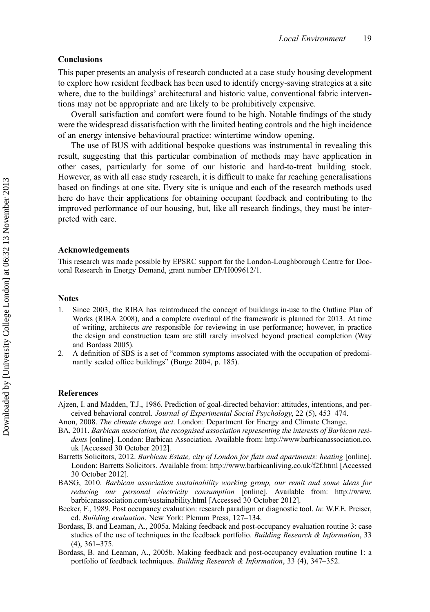# Conclusions

This paper presents an analysis of research conducted at a case study housing development to explore how resident feedback has been used to identify energy-saving strategies at a site where, due to the buildings' architectural and historic value, conventional fabric interventions may not be appropriate and are likely to be prohibitively expensive.

Overall satisfaction and comfort were found to be high. Notable findings of the study were the widespread dissatisfaction with the limited heating controls and the high incidence of an energy intensive behavioural practice: wintertime window opening.

The use of BUS with additional bespoke questions was instrumental in revealing this result, suggesting that this particular combination of methods may have application in other cases, particularly for some of our historic and hard-to-treat building stock. However, as with all case study research, it is difficult to make far reaching generalisations based on findings at one site. Every site is unique and each of the research methods used here do have their applications for obtaining occupant feedback and contributing to the improved performance of our housing, but, like all research findings, they must be interpreted with care.

## Acknowledgements

This research was made possible by EPSRC support for the London-Loughborough Centre for Doctoral Research in Energy Demand, grant number EP/H009612/1.

## **Notes**

- 1. Since 2003, the RIBA has reintroduced the concept of buildings in-use to the Outline Plan of Works (RIBA 2008), and a complete overhaul of the framework is planned for 2013. At time of writing, architects are responsible for reviewing in use performance; however, in practice the design and construction team are still rarely involved beyond practical completion (Way and Bordass 2005).
- 2. A definition of SBS is a set of "common symptoms associated with the occupation of predominantly sealed office buildings" (Burge 2004, p. 185).

#### References

- Ajzen, I. and Madden, T.J., 1986. Prediction of goal-directed behavior: attitudes, intentions, and perceived behavioral control. Journal of Experimental Social Psychology, 22 (5), 453–474.
- Anon, 2008. The climate change act. London: Department for Energy and Climate Change.
- BA, 2011. Barbican association, the recognised association representing the interests of Barbican residents [online]. London: Barbican Association. Available from: [http://www.barbicanassociation.co.](http://www.barbicanassociation.co.uk) [uk](http://www.barbicanassociation.co.uk) [Accessed 30 October 2012].
- Barretts Solicitors, 2012. Barbican Estate, city of London for flats and apartments: heating [online]. London: Barretts Solicitors. Available from:<http://www.barbicanliving.co.uk/f2f.html> [Accessed 30 October 2012].
- BASG, 2010. Barbican association sustainability working group, our remit and some ideas for reducing our personal electricity consumption [online]. Available from: [http://www.](http://www.barbicanassociation.com/sustainability.html) [barbicanassociation.com/sustainability.html](http://www.barbicanassociation.com/sustainability.html) [Accessed 30 October 2012].
- Becker, F., 1989. Post occupancy evaluation: research paradigm or diagnostic tool. In: W.F.E. Preiser, ed. Building evaluation. New York: Plenum Press, 127–134.
- Bordass, B. and Leaman, A., 2005a. Making feedback and post-occupancy evaluation routine 3: case studies of the use of techniques in the feedback portfolio. Building Research & Information, 33 (4), 361–375.
- Bordass, B. and Leaman, A., 2005b. Making feedback and post-occupancy evaluation routine 1: a portfolio of feedback techniques. Building Research & Information, 33 (4), 347–352.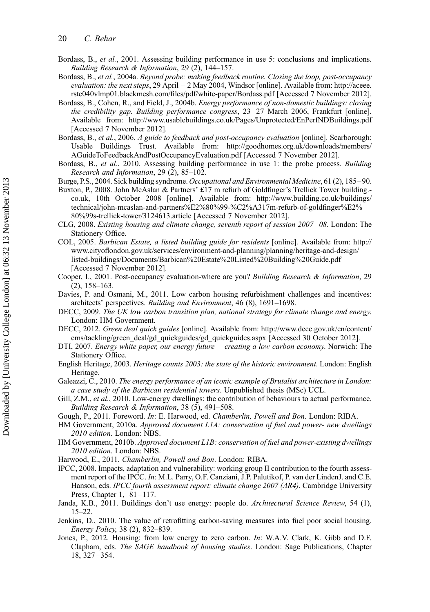- Bordass, B., *et al.*, 2001. Assessing building performance in use 5: conclusions and implications. Building Research & Information, 29 (2), 144–157.
- Bordass, B., et al., 2004a. Beyond probe: making feedback routine. Closing the loop, post-occupancy evaluation: the next steps, 29 April – 2 May 2004, Windsor [online]. Available from: [http://aceee.](http://aceee.rste040vlmp01.blackmesh.com/files/pdf/white-paper/Bordass.pdf) [rste040vlmp01.blackmesh.com/files/pdf/white-paper/Bordass.pdf](http://aceee.rste040vlmp01.blackmesh.com/files/pdf/white-paper/Bordass.pdf) [Accessed 7 November 2012].
- Bordass, B., Cohen, R., and Field, J., 2004b. Energy performance of non-domestic buildings: closing the credibility gap. Building performance congress, 23 –27 March 2006, Frankfurt [online]. Available from:<http://www.usablebuildings.co.uk/Pages/Unprotected/EnPerfNDBuildings.pdf> [Accessed 7 November 2012].
- Bordass, B., et al., 2006. A guide to feedback and post-occupancy evaluation [online]. Scarborough: Usable Buildings Trust. Available from: [http://goodhomes.org.uk/downloads/members/](http://goodhomes.org.uk/downloads/members/AGuideToFeedbackAndPostOccupancyEvaluation.pdf) [AGuideToFeedbackAndPostOccupancyEvaluation.pdf](http://goodhomes.org.uk/downloads/members/AGuideToFeedbackAndPostOccupancyEvaluation.pdf) [Accessed 7 November 2012].
- Bordass, B., et al., 2010. Assessing building performance in use 1: the probe process. Building Research and Information, 29 (2), 85–102.
- Burge, P.S., 2004. Sick building syndrome. Occupational and Environmental Medicine, 61 (2), 185–90.
- Buxton, P., 2008. John McAslan & Partners' £17 m refurb of Goldfinger's Trellick Tower building. co.uk, 10th October 2008 [online]. Available from: [http://www.building.co.uk/buildings/](http://www.building.co.uk/buildings/technical/john-mcaslan-and-partners%E2%80%99-%C2%A317m-refurb-of-goldfinger%E2%80%99s-trellick-tower/3124613.article) [technical/john-mcaslan-and-partners%E2%80%99-%C2%A317m-refurb-of-goldfinger%E2%](http://www.building.co.uk/buildings/technical/john-mcaslan-and-partners%E2%80%99-%C2%A317m-refurb-of-goldfinger%E2%80%99s-trellick-tower/3124613.article) [80%99s-trellick-tower/3124613.article](http://www.building.co.uk/buildings/technical/john-mcaslan-and-partners%E2%80%99-%C2%A317m-refurb-of-goldfinger%E2%80%99s-trellick-tower/3124613.article) [Accessed 7 November 2012].
- CLG, 2008. Existing housing and climate change, seventh report of session 2007 –08. London: The Stationery Office.
- COL, 2005. Barbican Estate, a listed building guide for residents [online]. Available from: [http://](http://www.cityoflondon.gov.uk/services/environment-and-planning/planning/heritage-and-design/listed-buildings/Documents/Barbican%20Estate%20Listed%20Building%20Guide.pdf) [www.cityoflondon.gov.uk/services/environment-and-planning/planning/heritage-and-design/](http://www.cityoflondon.gov.uk/services/environment-and-planning/planning/heritage-and-design/listed-buildings/Documents/Barbican%20Estate%20Listed%20Building%20Guide.pdf) [listed-buildings/Documents/Barbican%20Estate%20Listed%20Building%20Guide.pdf](http://www.cityoflondon.gov.uk/services/environment-and-planning/planning/heritage-and-design/listed-buildings/Documents/Barbican%20Estate%20Listed%20Building%20Guide.pdf) [Accessed 7 November 2012].
- Cooper, I., 2001. Post-occupancy evaluation-where are you? Building Research & Information, 29 (2), 158–163.
- Davies, P. and Osmani, M., 2011. Low carbon housing refurbishment challenges and incentives: architects' perspectives. Building and Environment, 46 (8), 1691–1698.
- DECC, 2009. The UK low carbon transition plan, national strategy for climate change and energy. London: HM Government.
- DECC, 2012. Green deal quick guides [online]. Available from: [http://www.decc.gov.uk/en/content/](http://www.decc.gov.uk/en/content/cms/tackling/green_deal/gd_quickguides/gd_quickguides.aspx) [cms/tackling/green\\_deal/gd\\_quickguides/gd\\_quickguides.aspx](http://www.decc.gov.uk/en/content/cms/tackling/green_deal/gd_quickguides/gd_quickguides.aspx) [Accessed 30 October 2012].
- DTI, 2007. Energy white paper, our energy future creating a low carbon economy. Norwich: The Stationery Office.
- English Heritage, 2003. Heritage counts 2003: the state of the historic environment. London: English Heritage.
- Galeazzi, C., 2010. The energy performance of an iconic example of Brutalist architecture in London: a case study of the Barbican residential towers. Unpublished thesis (MSc) UCL.
- Gill, Z.M., et al., 2010. Low-energy dwellings: the contribution of behaviours to actual performance. Building Research & Information, 38 (5), 491–508.
- Gough, P., 2011. Foreword. In: E. Harwood, ed. Chamberlin, Powell and Bon. London: RIBA.
- HM Government, 2010a. Approved document L1A: conservation of fuel and power- new dwellings 2010 edition. London: NBS.
- HM Government, 2010b. Approved document L1B: conservation of fuel and power-existing dwellings 2010 edition. London: NBS.
- Harwood, E., 2011. Chamberlin, Powell and Bon. London: RIBA.
- IPCC, 2008. Impacts, adaptation and vulnerability: working group II contribution to the fourth assessment report of the IPCC. In: M.L. Parry, O.F. Canziani, J.P. Palutikof, P. van der LindenJ. and C.E. Hanson, eds. IPCC fourth assessment report: climate change 2007 (AR4). Cambridge University Press, Chapter 1, 81–117.
- Janda, K.B., 2011. Buildings don't use energy: people do. Architectural Science Review, 54 (1), 15–22.
- Jenkins, D., 2010. The value of retrofitting carbon-saving measures into fuel poor social housing. Energy Policy, 38 (2), 832–839.
- Jones, P., 2012. Housing: from low energy to zero carbon. In: W.A.V. Clark, K. Gibb and D.F. Clapham, eds. The SAGE handbook of housing studies. London: Sage Publications, Chapter 18, 327– 354.